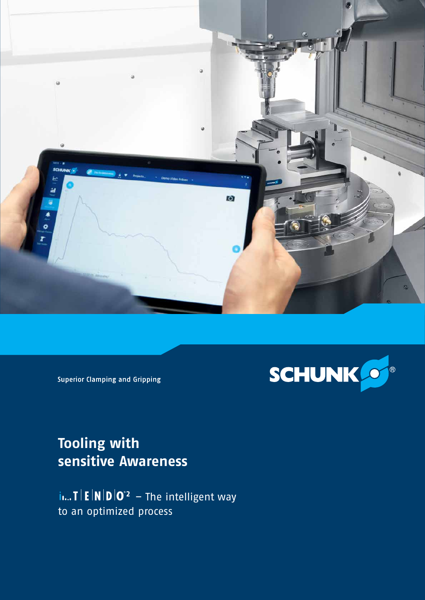



**Superior Clamping and Gripping** 

# **Tooling with sensitive Awareness**

**i**... **T E N D**  $0^2$  – The intelligent way to an optimized process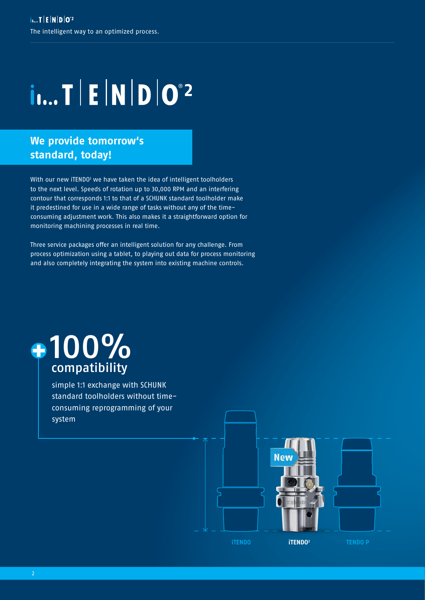# $i...$  T  $E|N|D|O^2$

### **We provide tomorrow's standard, today!**

With our new iTENDO $^2$  we have taken the idea of intelligent toolholders to the next level. Speeds of rotation up to 30,000 RPM and an interfering contour that corresponds 1:1 to that of a SCHUNK standard toolholder make it predestined for use in a wide range of tasks without any of the timeconsuming adjustment work. This also makes it a straightforward option for monitoring machining processes in real time.

Three service packages offer an intelligent solution for any challenge. From process optimization using a tablet, to playing out data for process monitoring and also completely integrating the system into existing machine controls.

# $-100%$ compatibility

simple 1:1 exchange with SCHUNK standard toolholders without timeconsuming reprogramming of your system

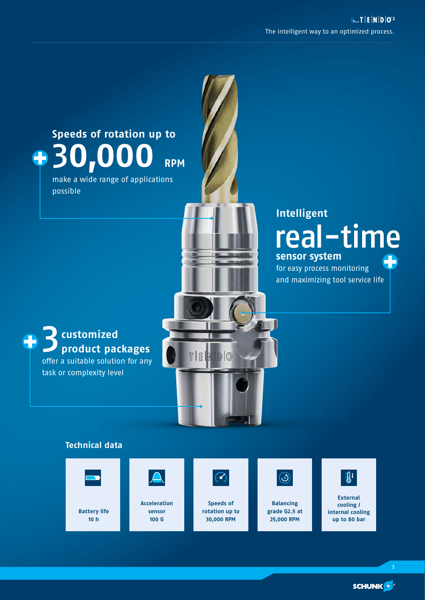

**SCHUNK**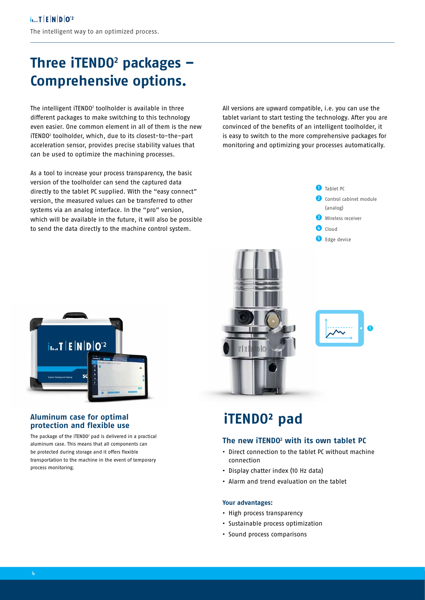# **Three iTENDO2 packages – Comprehensive options.**

The intelligent iTENDO2 toolholder is available in three different packages to make switching to this technology even easier. One common element in all of them is the new iTENDO2 toolholder, which, due to its closest-to-the-part acceleration sensor, provides precise stability values that can be used to optimize the machining processes.

As a tool to increase your process transparency, the basic version of the toolholder can send the captured data directly to the tablet PC supplied. With the "easy connect" version, the measured values can be transferred to other systems via an analog interface. In the "pro" version, which will be available in the future, it will also be possible to send the data directly to the machine control system.

**i<sub>l...</sub>T | E | N | D | O <sup>2</sup>** 

#### **Aluminum case for optimal protection and flexible use**

The package of the iTENDO<sup>2</sup> pad is delivered in a practical aluminum case. This means that all components can be protected during storage and it offers flexible transportation to the machine in the event of temporary process monitoring.

All versions are upward compatible, i.e. you can use the tablet variant to start testing the technology. After you are convinced of the benefits of an intelligent toolholder, it is easy to switch to the more comprehensive packages for monitoring and optimizing your processes automatically.



# **iTENDO² pad**

### **The new iTENDO2 with its own tablet PC**

- **•** Direct connection to the tablet PC without machine connection
- **•** Display chatter index (10 Hz data)
- **•** Alarm and trend evaluation on the tablet

#### **Your advantages:**

- **•** High process transparency
- **•** Sustainable process optimization
- **•** Sound process comparisons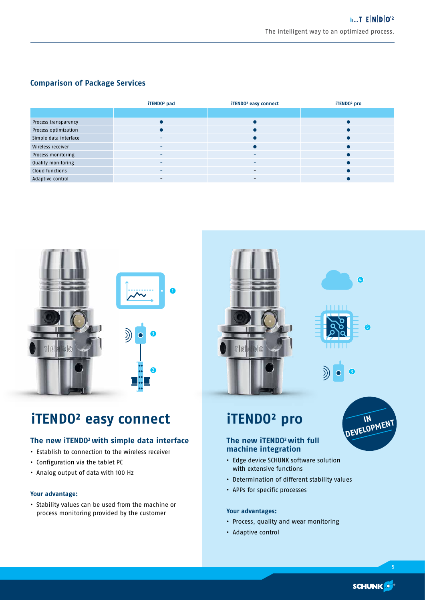### **Comparison of Package Services**

|                       | iTEND0 <sup>2</sup> pad | iTEND0 <sup>2</sup> easy connect | iTEND0 <sup>2</sup> pro |
|-----------------------|-------------------------|----------------------------------|-------------------------|
|                       |                         |                                  |                         |
| Process transparency  |                         |                                  |                         |
| Process optimization  |                         |                                  | $\bullet$               |
| Simple data interface | -                       |                                  | $\bullet$               |
| Wireless receiver     |                         |                                  | $\bullet$               |
| Process monitoring    | -                       | -                                | $\bullet$               |
| Quality monitoring    |                         | -                                | $\bullet$               |
| Cloud functions       |                         | $\overline{\phantom{0}}$         |                         |
| Adaptive control      | -                       | -                                |                         |



# **iTENDO² easy connect iTENDO² pro**

### **The new iTENDO2 with simple data interface**

- **•** Establish to connection to the wireless receiver
- **•** Configuration via the tablet PC
- **•** Analog output of data with 100 Hz

#### **Your advantage:**

**•** Stability values can be used from the machine or process monitoring provided by the customer



### **The new iTENDO2 with full machine integration**

- **•** Edge device SCHUNK software solution with extensive functions
- **•** Determination of different stability values
- **•** APPs for specific processes

#### **Your advantages:**

- **•** Process, quality and wear monitoring
- **•** Adaptive control

**SCHUNK** 

**IN IN DEVELOPMENT**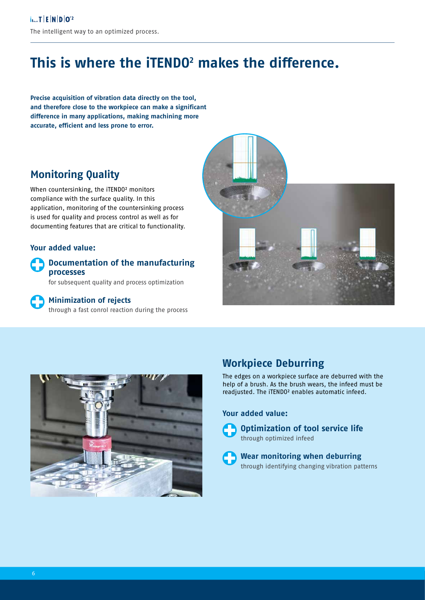# **This is where the iTENDO2 makes the difference.**

**Precise acquisition of vibration data directly on the tool, and therefore close to the workpiece can make a significant difference in many applications, making machining more accurate, efficient and less prone to error.**

### **Monitoring Quality**

When countersinking, the iTENDO² monitors compliance with the surface quality. In this application, monitoring of the countersinking process is used for quality and process control as well as for documenting features that are critical to functionality.

### **Your added value:**

### **Documentation of the manufacturing processes**

for subsequent quality and process optimization

### **Minimization of rejects**

through a fast conrol reaction during the process





### **Workpiece Deburring**

The edges on a workpiece surface are deburred with the help of a brush. As the brush wears, the infeed must be readjusted. The iTENDO² enables automatic infeed.

### **Your added value:**

**Optimization of tool service life**  through optimized infeed

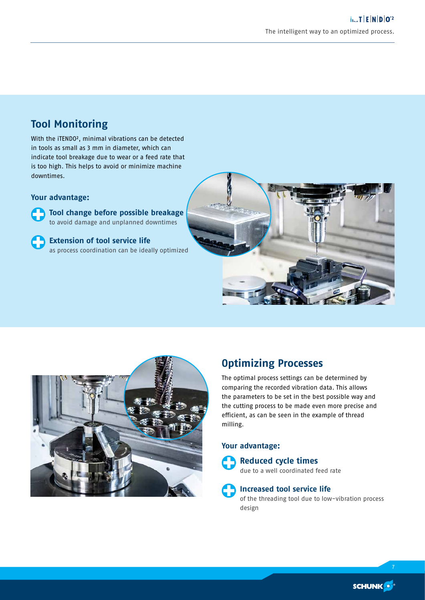### **Tool Monitoring**

With the iTENDO², minimal vibrations can be detected in tools as small as 3 mm in diameter, which can indicate tool breakage due to wear or a feed rate that is too high. This helps to avoid or minimize machine downtimes.

#### **Your advantage:**



 **Tool change before possible breakage**  to avoid damage and unplanned downtimes

### **Extension of tool service life**

as process coordination can be ideally optimized





### **Optimizing Processes**

The optimal process settings can be determined by comparing the recorded vibration data. This allows the parameters to be set in the best possible way and the cutting process to be made even more precise and efficient, as can be seen in the example of thread milling.

### **Your advantage:**

## **Reduced cycle times**

due to a well coordinated feed rate

**Increased tool service life**  of the threading tool due to low-vibration process design

7